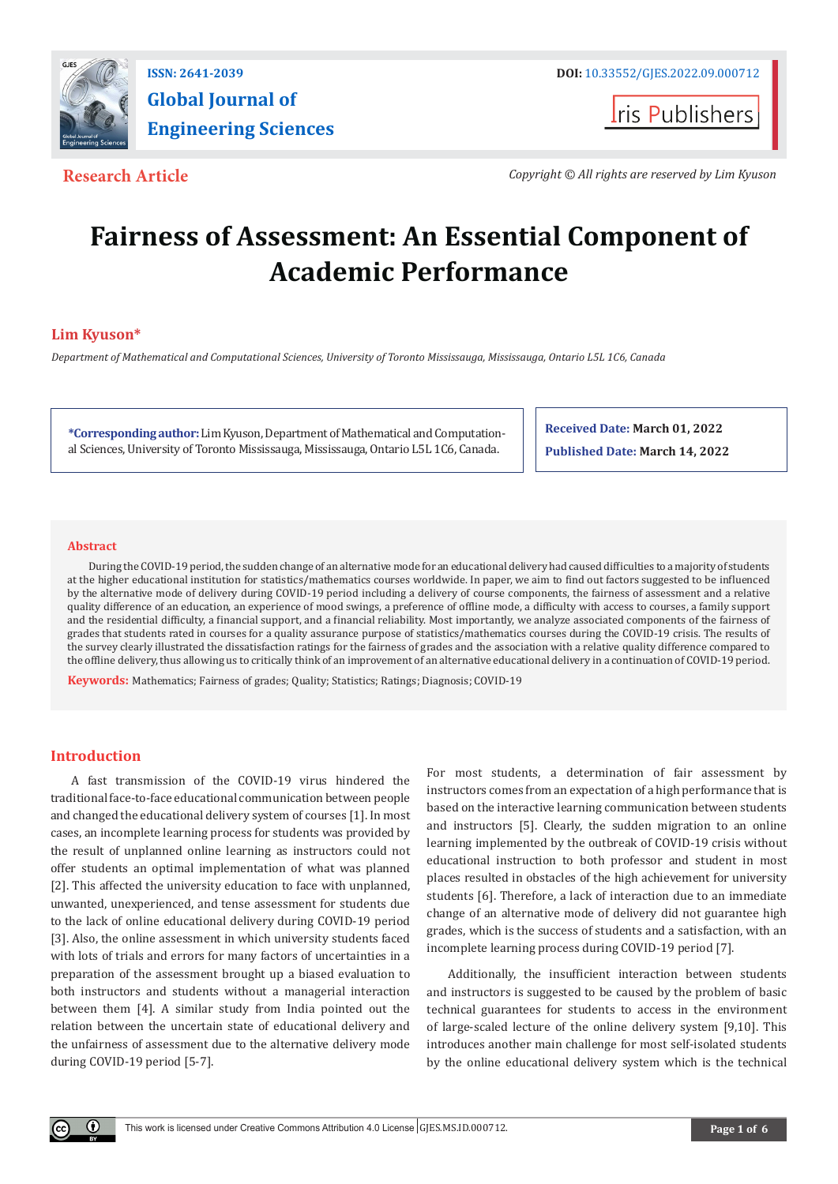

**I**ris Publishers

**Research Article** *Copyright © All rights are reserved by Lim Kyuson*

# **Fairness of Assessment: An Essential Component of Academic Performance**

# **Lim Kyuson\***

*Department of Mathematical and Computational Sciences, University of Toronto Mississauga, Mississauga, Ontario L5L 1C6, Canada*

**\*Corresponding author:** Lim Kyuson, Department of Mathematical and Computational Sciences, University of Toronto Mississauga, Mississauga, Ontario L5L 1C6, Canada.

**Received Date: March 01, 2022 Published Date: March 14, 2022**

# **Abstract**

During the COVID-19 period, the sudden change of an alternative mode for an educational delivery had caused difficulties to a majority of students at the higher educational institution for statistics/mathematics courses worldwide. In paper, we aim to find out factors suggested to be influenced by the alternative mode of delivery during COVID-19 period including a delivery of course components, the fairness of assessment and a relative quality difference of an education, an experience of mood swings, a preference of offline mode, a difficulty with access to courses, a family support and the residential difficulty, a financial support, and a financial reliability. Most importantly, we analyze associated components of the fairness of grades that students rated in courses for a quality assurance purpose of statistics/mathematics courses during the COVID-19 crisis. The results of the survey clearly illustrated the dissatisfaction ratings for the fairness of grades and the association with a relative quality difference compared to the offline delivery, thus allowing us to critically think of an improvement of an alternative educational delivery in a continuation of COVID-19 period.

**Keywords:** Mathematics; Fairness of grades; Quality; Statistics; Ratings; Diagnosis; COVID-19

# **Introduction**

 $\left( \mathbf{r} \right)$ 

A fast transmission of the COVID-19 virus hindered the traditional face-to-face educational communication between people and changed the educational delivery system of courses [1]. In most cases, an incomplete learning process for students was provided by the result of unplanned online learning as instructors could not offer students an optimal implementation of what was planned [2]. This affected the university education to face with unplanned, unwanted, unexperienced, and tense assessment for students due to the lack of online educational delivery during COVID-19 period [3]. Also, the online assessment in which university students faced with lots of trials and errors for many factors of uncertainties in a preparation of the assessment brought up a biased evaluation to both instructors and students without a managerial interaction between them [4]. A similar study from India pointed out the relation between the uncertain state of educational delivery and the unfairness of assessment due to the alternative delivery mode during COVID-19 period [5-7].

For most students, a determination of fair assessment by instructors comes from an expectation of a high performance that is based on the interactive learning communication between students and instructors [5]. Clearly, the sudden migration to an online learning implemented by the outbreak of COVID-19 crisis without educational instruction to both professor and student in most places resulted in obstacles of the high achievement for university students [6]. Therefore, a lack of interaction due to an immediate change of an alternative mode of delivery did not guarantee high grades, which is the success of students and a satisfaction, with an incomplete learning process during COVID-19 period [7].

Additionally, the insufficient interaction between students and instructors is suggested to be caused by the problem of basic technical guarantees for students to access in the environment of large-scaled lecture of the online delivery system [9,10]. This introduces another main challenge for most self-isolated students by the online educational delivery system which is the technical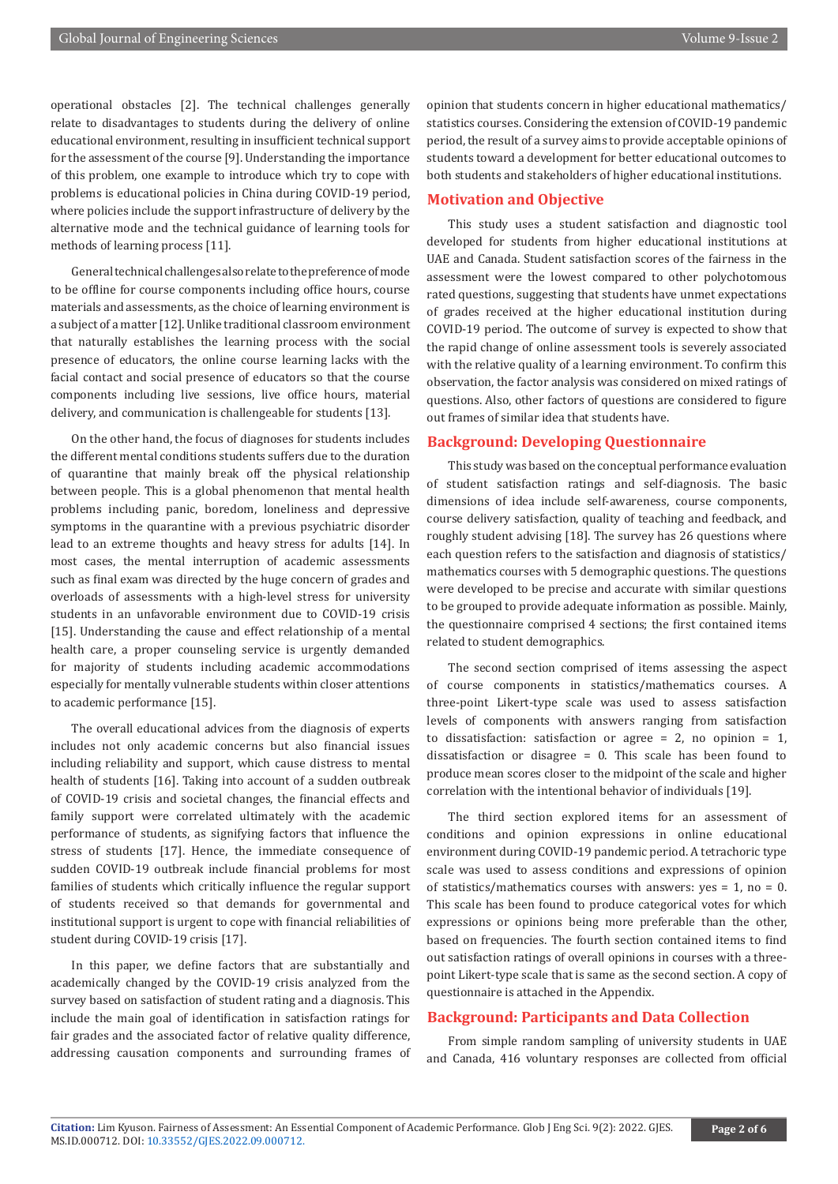operational obstacles [2]. The technical challenges generally relate to disadvantages to students during the delivery of online educational environment, resulting in insufficient technical support for the assessment of the course [9]. Understanding the importance of this problem, one example to introduce which try to cope with problems is educational policies in China during COVID-19 period, where policies include the support infrastructure of delivery by the alternative mode and the technical guidance of learning tools for methods of learning process [11].

General technical challenges also relate to the preference of mode to be offline for course components including office hours, course materials and assessments, as the choice of learning environment is a subject of a matter [12]. Unlike traditional classroom environment that naturally establishes the learning process with the social presence of educators, the online course learning lacks with the facial contact and social presence of educators so that the course components including live sessions, live office hours, material delivery, and communication is challengeable for students [13].

On the other hand, the focus of diagnoses for students includes the different mental conditions students suffers due to the duration of quarantine that mainly break off the physical relationship between people. This is a global phenomenon that mental health problems including panic, boredom, loneliness and depressive symptoms in the quarantine with a previous psychiatric disorder lead to an extreme thoughts and heavy stress for adults [14]. In most cases, the mental interruption of academic assessments such as final exam was directed by the huge concern of grades and overloads of assessments with a high-level stress for university students in an unfavorable environment due to COVID-19 crisis [15]. Understanding the cause and effect relationship of a mental health care, a proper counseling service is urgently demanded for majority of students including academic accommodations especially for mentally vulnerable students within closer attentions to academic performance [15].

The overall educational advices from the diagnosis of experts includes not only academic concerns but also financial issues including reliability and support, which cause distress to mental health of students [16]. Taking into account of a sudden outbreak of COVID-19 crisis and societal changes, the financial effects and family support were correlated ultimately with the academic performance of students, as signifying factors that influence the stress of students [17]. Hence, the immediate consequence of sudden COVID-19 outbreak include financial problems for most families of students which critically influence the regular support of students received so that demands for governmental and institutional support is urgent to cope with financial reliabilities of student during COVID-19 crisis [17].

In this paper, we define factors that are substantially and academically changed by the COVID-19 crisis analyzed from the survey based on satisfaction of student rating and a diagnosis. This include the main goal of identification in satisfaction ratings for fair grades and the associated factor of relative quality difference, addressing causation components and surrounding frames of opinion that students concern in higher educational mathematics/ statistics courses. Considering the extension of COVID-19 pandemic period, the result of a survey aims to provide acceptable opinions of students toward a development for better educational outcomes to both students and stakeholders of higher educational institutions.

# **Motivation and Objective**

This study uses a student satisfaction and diagnostic tool developed for students from higher educational institutions at UAE and Canada. Student satisfaction scores of the fairness in the assessment were the lowest compared to other polychotomous rated questions, suggesting that students have unmet expectations of grades received at the higher educational institution during COVID-19 period. The outcome of survey is expected to show that the rapid change of online assessment tools is severely associated with the relative quality of a learning environment. To confirm this observation, the factor analysis was considered on mixed ratings of questions. Also, other factors of questions are considered to figure out frames of similar idea that students have.

# **Background: Developing Questionnaire**

This study was based on the conceptual performance evaluation of student satisfaction ratings and self-diagnosis. The basic dimensions of idea include self-awareness, course components, course delivery satisfaction, quality of teaching and feedback, and roughly student advising [18]. The survey has 26 questions where each question refers to the satisfaction and diagnosis of statistics/ mathematics courses with 5 demographic questions. The questions were developed to be precise and accurate with similar questions to be grouped to provide adequate information as possible. Mainly, the questionnaire comprised 4 sections; the first contained items related to student demographics.

The second section comprised of items assessing the aspect of course components in statistics/mathematics courses. A three-point Likert-type scale was used to assess satisfaction levels of components with answers ranging from satisfaction to dissatisfaction: satisfaction or agree  $= 2$ , no opinion  $= 1$ , dissatisfaction or disagree = 0. This scale has been found to produce mean scores closer to the midpoint of the scale and higher correlation with the intentional behavior of individuals [19].

The third section explored items for an assessment of conditions and opinion expressions in online educational environment during COVID-19 pandemic period. A tetrachoric type scale was used to assess conditions and expressions of opinion of statistics/mathematics courses with answers:  $yes = 1$ , no = 0. This scale has been found to produce categorical votes for which expressions or opinions being more preferable than the other, based on frequencies. The fourth section contained items to find out satisfaction ratings of overall opinions in courses with a threepoint Likert-type scale that is same as the second section. A copy of questionnaire is attached in the Appendix.

# **Background: Participants and Data Collection**

From simple random sampling of university students in UAE and Canada, 416 voluntary responses are collected from official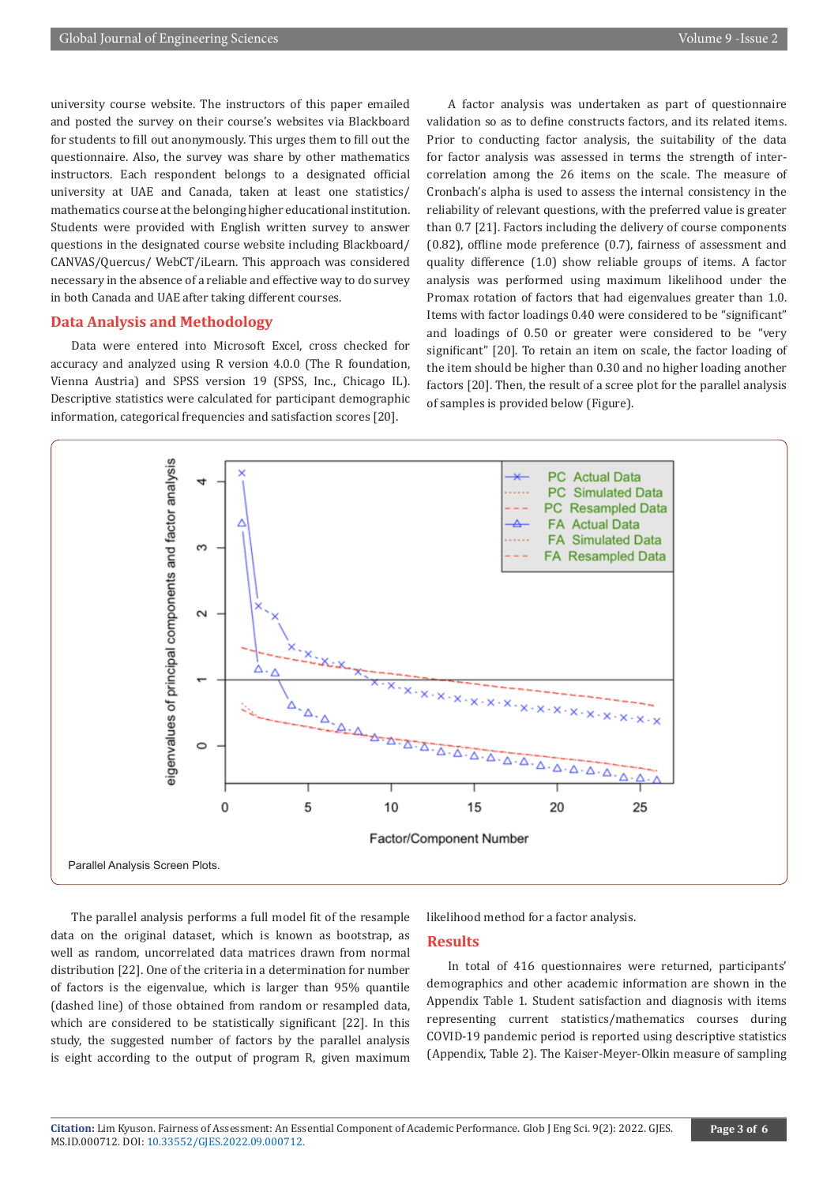university course website. The instructors of this paper emailed and posted the survey on their course's websites via Blackboard for students to fill out anonymously. This urges them to fill out the questionnaire. Also, the survey was share by other mathematics instructors. Each respondent belongs to a designated official university at UAE and Canada, taken at least one statistics/ mathematics course at the belonging higher educational institution. Students were provided with English written survey to answer questions in the designated course website including Blackboard/ CANVAS/Quercus/ WebCT/iLearn. This approach was considered necessary in the absence of a reliable and effective way to do survey in both Canada and UAE after taking different courses.

# **Data Analysis and Methodology**

Data were entered into Microsoft Excel, cross checked for accuracy and analyzed using R version 4.0.0 (The R foundation, Vienna Austria) and SPSS version 19 (SPSS, Inc., Chicago IL). Descriptive statistics were calculated for participant demographic information, categorical frequencies and satisfaction scores [20].

A factor analysis was undertaken as part of questionnaire validation so as to define constructs factors, and its related items. Prior to conducting factor analysis, the suitability of the data for factor analysis was assessed in terms the strength of intercorrelation among the 26 items on the scale. The measure of Cronbach's alpha is used to assess the internal consistency in the reliability of relevant questions, with the preferred value is greater than 0.7 [21]. Factors including the delivery of course components (0.82), offline mode preference (0.7), fairness of assessment and quality difference (1.0) show reliable groups of items. A factor analysis was performed using maximum likelihood under the Promax rotation of factors that had eigenvalues greater than 1.0. Items with factor loadings 0.40 were considered to be "significant" and loadings of 0.50 or greater were considered to be "very significant" [20]. To retain an item on scale, the factor loading of the item should be higher than 0.30 and no higher loading another factors [20]. Then, the result of a scree plot for the parallel analysis of samples is provided below (Figure).



The parallel analysis performs a full model fit of the resample data on the original dataset, which is known as bootstrap, as well as random, uncorrelated data matrices drawn from normal distribution [22]. One of the criteria in a determination for number of factors is the eigenvalue, which is larger than 95% quantile (dashed line) of those obtained from random or resampled data, which are considered to be statistically significant [22]. In this study, the suggested number of factors by the parallel analysis is eight according to the output of program R, given maximum

likelihood method for a factor analysis.

### **Results**

In total of 416 questionnaires were returned, participants' demographics and other academic information are shown in the Appendix Table 1. Student satisfaction and diagnosis with items representing current statistics/mathematics courses during COVID-19 pandemic period is reported using descriptive statistics (Appendix, Table 2). The Kaiser-Meyer-Olkin measure of sampling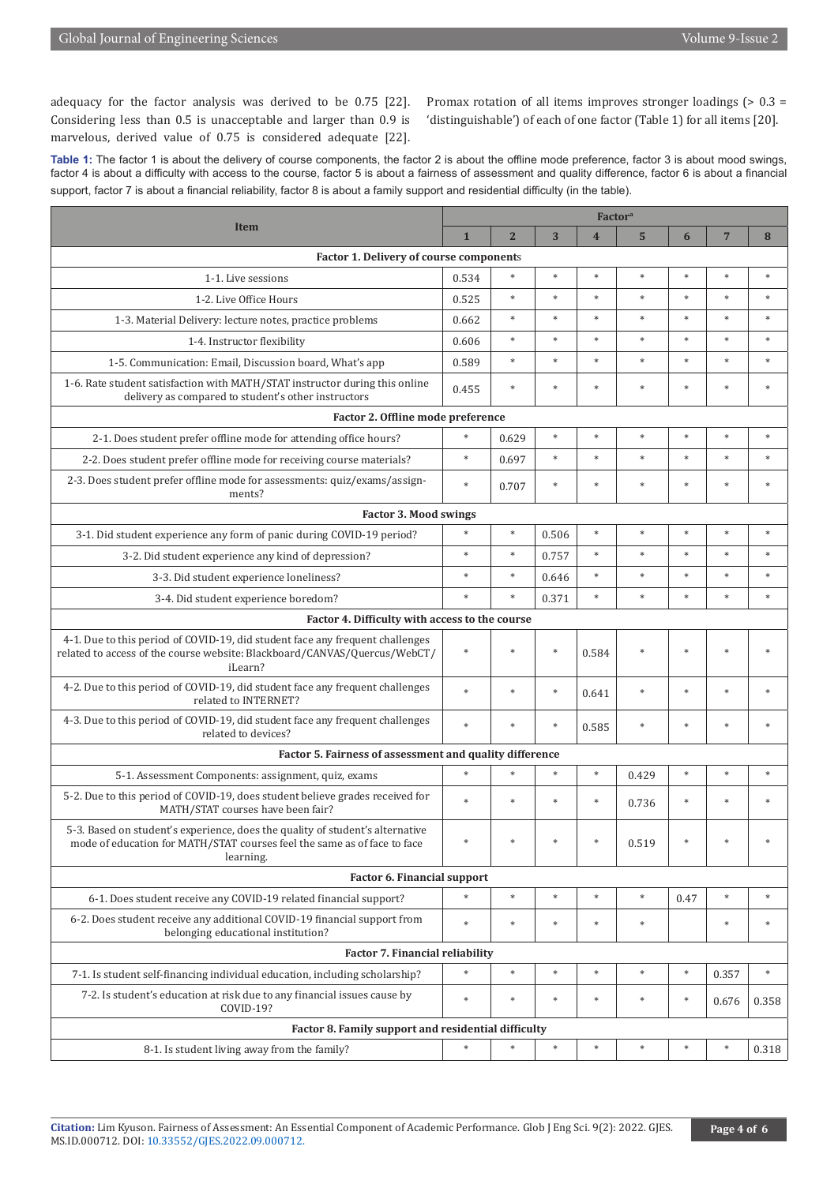adequacy for the factor analysis was derived to be 0.75 [22]. Considering less than 0.5 is unacceptable and larger than 0.9 is marvelous, derived value of 0.75 is considered adequate [22].

Promax rotation of all items improves stronger loadings (> 0.3 = 'distinguishable') of each of one factor (Table 1) for all items [20].

Table 1: The factor 1 is about the delivery of course components, the factor 2 is about the offline mode preference, factor 3 is about mood swings, factor 4 is about a difficulty with access to the course, factor 5 is about a fairness of assessment and quality difference, factor 6 is about a financial support, factor 7 is about a financial reliability, factor 8 is about a family support and residential difficulty (in the table).

| <b>Item</b>                                                                                                                                                            | <b>Factor</b> <sup>a</sup> |                |        |                |        |        |                |        |  |
|------------------------------------------------------------------------------------------------------------------------------------------------------------------------|----------------------------|----------------|--------|----------------|--------|--------|----------------|--------|--|
|                                                                                                                                                                        | $\mathbf{1}$               | $\overline{2}$ | 3      | $\overline{4}$ | 5      | 6      | $\overline{7}$ | 8      |  |
| Factor 1. Delivery of course components                                                                                                                                |                            |                |        |                |        |        |                |        |  |
| 1-1. Live sessions                                                                                                                                                     | 0.534                      | *              | $\ast$ | $\ast$         | $\ast$ | $\ast$ | $\ast$         | $\ast$ |  |
| 1-2. Live Office Hours                                                                                                                                                 | 0.525                      | $\ast$         | $\ast$ | $\ast$         | $\ast$ | $\ast$ | $\ast$         | $\ast$ |  |
| 1-3. Material Delivery: lecture notes, practice problems                                                                                                               | 0.662                      | *              | $\ast$ | $\ast$         | $\ast$ | $\ast$ | $\ast$         | $\ast$ |  |
| 1-4. Instructor flexibility                                                                                                                                            | 0.606                      | $\ast$         | $\ast$ | $\ast$         | $\ast$ | $\ast$ | $\ast$         | $\ast$ |  |
| 1-5. Communication: Email, Discussion board, What's app                                                                                                                | 0.589                      | $\ast$         | $\ast$ | $\ast$         | $\ast$ | $\ast$ | $\ast$         | $\ast$ |  |
| 1-6. Rate student satisfaction with MATH/STAT instructor during this online<br>delivery as compared to student's other instructors                                     | 0.455                      | $\ast$         | $\ast$ | $\ast$         | $\ast$ | $\ast$ | $\ast$         | $\ast$ |  |
| Factor 2. Offline mode preference                                                                                                                                      |                            |                |        |                |        |        |                |        |  |
| 2-1. Does student prefer offline mode for attending office hours?                                                                                                      | $\ast$                     | 0.629          | $\ast$ | $\ast$         | $\ast$ | $\ast$ | $\ast$         | $\ast$ |  |
| 2-2. Does student prefer offline mode for receiving course materials?                                                                                                  | $\ast$                     | 0.697          | $\ast$ | $\ast$         | $\ast$ | $\ast$ | $\ast$         | $\ast$ |  |
| 2-3. Does student prefer offline mode for assessments: quiz/exams/assign-<br>ments?                                                                                    | $\ast$                     | 0.707          | $\ast$ | $\ast$         | $\ast$ | $\ast$ | $\ast$         | $\ast$ |  |
| <b>Factor 3. Mood swings</b>                                                                                                                                           |                            |                |        |                |        |        |                |        |  |
| 3-1. Did student experience any form of panic during COVID-19 period?                                                                                                  | $\ast$                     | $\ast$         | 0.506  | $\ast$         | $\ast$ | $\ast$ | $\ast$         | $\ast$ |  |
| 3-2. Did student experience any kind of depression?                                                                                                                    | $\ast$                     | $\ast$         | 0.757  | $\ast$         | $\ast$ | $\ast$ | $\ast$         | $\ast$ |  |
| 3-3. Did student experience loneliness?                                                                                                                                | $\ast$                     | $\ast$         | 0.646  | $\ast$         | $\ast$ | $\ast$ | $\ast$         | $\ast$ |  |
| 3-4. Did student experience boredom?                                                                                                                                   | $\ast$                     | $*$            | 0.371  | $\ast$         | $\ast$ | $\ast$ | $\ast$         | $\ast$ |  |
| Factor 4. Difficulty with access to the course                                                                                                                         |                            |                |        |                |        |        |                |        |  |
| 4-1. Due to this period of COVID-19, did student face any frequent challenges<br>related to access of the course website: Blackboard/CANVAS/Quercus/WebCT/<br>iLearn?  | $\ast$                     |                | $\ast$ | 0.584          | $\ast$ | $\ast$ | ź,             |        |  |
| 4-2. Due to this period of COVID-19, did student face any frequent challenges<br>related to INTERNET?                                                                  | ×                          | ×.             | $\ast$ | 0.641          | $\ast$ | $\ast$ | $\ast$         | $\ast$ |  |
| 4-3. Due to this period of COVID-19, did student face any frequent challenges<br>related to devices?                                                                   | $\ast$                     | $\ast$         | $\ast$ | 0.585          | $\ast$ | $\ast$ | $\ast$         | $\ast$ |  |
| Factor 5. Fairness of assessment and quality difference                                                                                                                |                            |                |        |                |        |        |                |        |  |
| 5-1. Assessment Components: assignment, quiz, exams                                                                                                                    | $\ast$                     | *              | $\ast$ | $\ast$         | 0.429  | $\ast$ | $\ast$         | $\ast$ |  |
| 5-2. Due to this period of COVID-19, does student believe grades received for<br>MATH/STAT courses have been fair?                                                     | $\ast$                     | $\ast$         | $\ast$ | $\ast$         | 0.736  | $\ast$ | $\ast$         | $\ast$ |  |
| 5-3. Based on student's experience, does the quality of student's alternative<br>mode of education for MATH/STAT courses feel the same as of face to face<br>learning. |                            | sk.            |        |                | 0.519  |        |                |        |  |
| <b>Factor 6. Financial support</b>                                                                                                                                     |                            |                |        |                |        |        |                |        |  |
| 6-1. Does student receive any COVID-19 related financial support?                                                                                                      | $\ast$                     | $\ast$         | $\ast$ | $\ast$         | $\ast$ | 0.47   | $\ast$         | $\ast$ |  |
| 6-2. Does student receive any additional COVID-19 financial support from<br>belonging educational institution?                                                         | $\ast$                     | *              | $\ast$ | $\ast$         | $\ast$ |        | $\ast$         | $\ast$ |  |
| <b>Factor 7. Financial reliability</b>                                                                                                                                 |                            |                |        |                |        |        |                |        |  |
| 7-1. Is student self-financing individual education, including scholarship?                                                                                            | $\ast$                     | $\ast$         | $\ast$ | $\ast$         | $\ast$ | $\ast$ | 0.357          | $\ast$ |  |
| 7-2. Is student's education at risk due to any financial issues cause by<br>COVID-19?                                                                                  | $\ast$                     | *              | $\ast$ | $\ast$         | $\ast$ | $\ast$ | 0.676          | 0.358  |  |
| Factor 8. Family support and residential difficulty                                                                                                                    |                            |                |        |                |        |        |                |        |  |
| 8-1. Is student living away from the family?                                                                                                                           | $\ast$                     | $\ast$         | $\ast$ | $\ast$         | $\ast$ | $\ast$ | $\ast$         | 0.318  |  |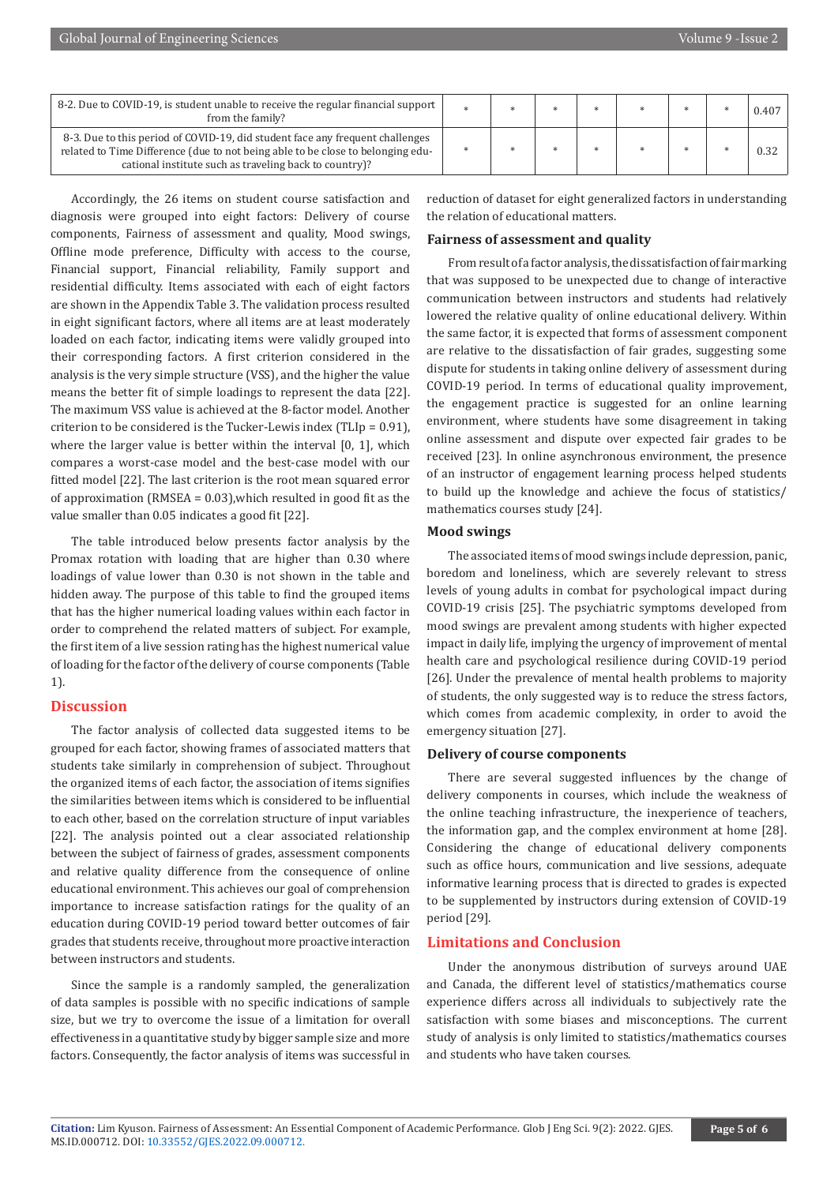| 8-2. Due to COVID-19, is student unable to receive the regular financial support<br>from the family?                                                                                                                       |  |  |  | 0.407 |
|----------------------------------------------------------------------------------------------------------------------------------------------------------------------------------------------------------------------------|--|--|--|-------|
| 8-3. Due to this period of COVID-19, did student face any frequent challenges<br>related to Time Difference (due to not being able to be close to belonging edu-<br>cational institute such as traveling back to country)? |  |  |  |       |

Accordingly, the 26 items on student course satisfaction and diagnosis were grouped into eight factors: Delivery of course components, Fairness of assessment and quality, Mood swings, Offline mode preference, Difficulty with access to the course, Financial support, Financial reliability, Family support and residential difficulty. Items associated with each of eight factors are shown in the Appendix Table 3. The validation process resulted in eight significant factors, where all items are at least moderately loaded on each factor, indicating items were validly grouped into their corresponding factors. A first criterion considered in the analysis is the very simple structure (VSS), and the higher the value means the better fit of simple loadings to represent the data [22]. The maximum VSS value is achieved at the 8-factor model. Another criterion to be considered is the Tucker-Lewis index (TLIp = 0.91), where the larger value is better within the interval [0, 1], which compares a worst-case model and the best-case model with our fitted model [22]. The last criterion is the root mean squared error of approximation (RMSEA = 0.03),which resulted in good fit as the value smaller than 0.05 indicates a good fit [22].

The table introduced below presents factor analysis by the Promax rotation with loading that are higher than 0.30 where loadings of value lower than 0.30 is not shown in the table and hidden away. The purpose of this table to find the grouped items that has the higher numerical loading values within each factor in order to comprehend the related matters of subject. For example, the first item of a live session rating has the highest numerical value of loading for the factor of the delivery of course components (Table 1).

# **Discussion**

The factor analysis of collected data suggested items to be grouped for each factor, showing frames of associated matters that students take similarly in comprehension of subject. Throughout the organized items of each factor, the association of items signifies the similarities between items which is considered to be influential to each other, based on the correlation structure of input variables [22]. The analysis pointed out a clear associated relationship between the subject of fairness of grades, assessment components and relative quality difference from the consequence of online educational environment. This achieves our goal of comprehension importance to increase satisfaction ratings for the quality of an education during COVID-19 period toward better outcomes of fair grades that students receive, throughout more proactive interaction between instructors and students.

Since the sample is a randomly sampled, the generalization of data samples is possible with no specific indications of sample size, but we try to overcome the issue of a limitation for overall effectiveness in a quantitative study by bigger sample size and more factors. Consequently, the factor analysis of items was successful in

reduction of dataset for eight generalized factors in understanding the relation of educational matters.

# **Fairness of assessment and quality**

From result of a factor analysis, the dissatisfaction of fair marking that was supposed to be unexpected due to change of interactive communication between instructors and students had relatively lowered the relative quality of online educational delivery. Within the same factor, it is expected that forms of assessment component are relative to the dissatisfaction of fair grades, suggesting some dispute for students in taking online delivery of assessment during COVID-19 period. In terms of educational quality improvement, the engagement practice is suggested for an online learning environment, where students have some disagreement in taking online assessment and dispute over expected fair grades to be received [23]. In online asynchronous environment, the presence of an instructor of engagement learning process helped students to build up the knowledge and achieve the focus of statistics/ mathematics courses study [24].

# **Mood swings**

The associated items of mood swings include depression, panic, boredom and loneliness, which are severely relevant to stress levels of young adults in combat for psychological impact during COVID-19 crisis [25]. The psychiatric symptoms developed from mood swings are prevalent among students with higher expected impact in daily life, implying the urgency of improvement of mental health care and psychological resilience during COVID-19 period [26]. Under the prevalence of mental health problems to majority of students, the only suggested way is to reduce the stress factors, which comes from academic complexity, in order to avoid the emergency situation [27].

# **Delivery of course components**

There are several suggested influences by the change of delivery components in courses, which include the weakness of the online teaching infrastructure, the inexperience of teachers, the information gap, and the complex environment at home [28]. Considering the change of educational delivery components such as office hours, communication and live sessions, adequate informative learning process that is directed to grades is expected to be supplemented by instructors during extension of COVID-19 period [29].

# **Limitations and Conclusion**

Under the anonymous distribution of surveys around UAE and Canada, the different level of statistics/mathematics course experience differs across all individuals to subjectively rate the satisfaction with some biases and misconceptions. The current study of analysis is only limited to statistics/mathematics courses and students who have taken courses.